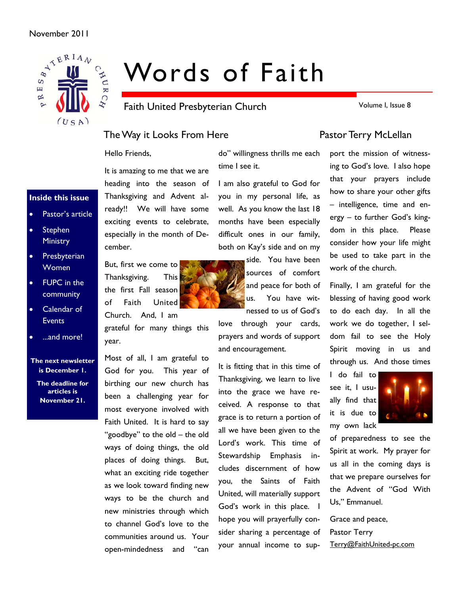### November 2011



# Words of Faith

Faith United Presbyterian Church

Volume I, Issue 8

# The Way it Looks From Here **Pastor Terry McLellan**

Hello Friends,

It is amazing to me that we are heading into the season of Thanksgiving and Advent already!! We will have some exciting events to celebrate, especially in the month of December.

But, first we come to Thanksgiving. This the first Fall season of Faith United

Church. And, I am grateful for many things this year.

Most of all, I am grateful to God for you. This year of birthing our new church has been a challenging year for most everyone involved with Faith United. It is hard to say "goodbye" to the old – the old ways of doing things, the old places of doing things. But, what an exciting ride together as we look toward finding new ways to be the church and new ministries through which to channel God's love to the communities around us. Your open-mindedness and "can

do" willingness thrills me each time I see it.

I am also grateful to God for you in my personal life, as well. As you know the last 18 months have been especially difficult ones in our family, both on Kay's side and on my

> side. You have been sources of comfort and peace for both of us. You have witnessed to us of God's

love through your cards, prayers and words of support and encouragement.

It is fitting that in this time of Thanksgiving, we learn to live into the grace we have received. A response to that grace is to return a portion of all we have been given to the Lord's work. This time of Stewardship Emphasis includes discernment of how you, the Saints of Faith United, will materially support God's work in this place. I hope you will prayerfully consider sharing a percentage of your annual income to sup-

port the mission of witnessing to God's love. I also hope that your prayers include how to share your other gifts – intelligence, time and energy – to further God's kingdom in this place. Please consider how your life might be used to take part in the work of the church.

Finally, I am grateful for the blessing of having good work to do each day. In all the work we do together, I seldom fail to see the Holy Spirit moving in us and through us. And those times

I do fail to see it, I usually find that it is due to my own lack



of preparedness to see the Spirit at work. My prayer for us all in the coming days is that we prepare ourselves for the Advent of "God With Us," Emmanuel.

Grace and peace, Pastor Terry Terry@FaithUnited-pc.com

# **Inside this issue**

- Pastor's article
- Stephen **Ministry**
- Presbyterian Women
- FUPC in the community
- Calendar of **Events**
- ...and more!

**The next newsletter is December 1.** 

**The deadline for articles is November 21.**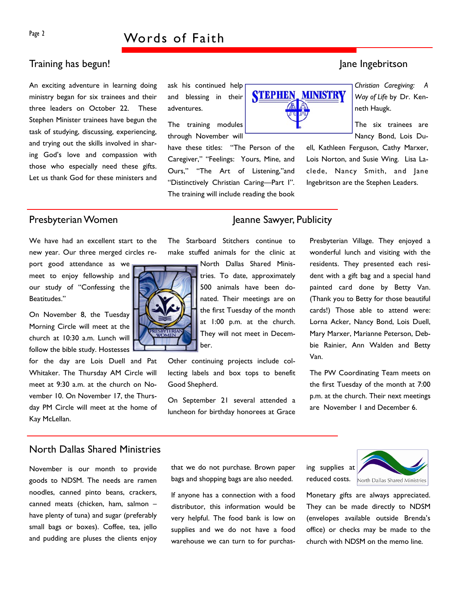### Training has begun! Jane Ingebritson and the set of the set of the set of the set of the set of the set of the set of the set of the set of the set of the set of the set of the set of the set of the set of the set of the s

An exciting adventure in learning doing ministry began for six trainees and their three leaders on October 22. These Stephen Minister trainees have begun the task of studying, discussing, experiencing, and trying out the skills involved in sharing God's love and compassion with those who especially need these gifts. Let us thank God for these ministers and ask his continued help and blessing in their adventures.

The training modules through November will

have these titles: "The Person of the Caregiver," "Feelings: Yours, Mine, and Ours," "The Art of Listening,"and "Distinctively Christian Caring—Part I". The training will include reading the book



*Christian Caregiving: A Way of Life* by Dr. Kenneth Haugk.

The six trainees are Nancy Bond, Lois Du-

ell, Kathleen Ferguson, Cathy Marxer, Lois Norton, and Susie Wing. Lisa Laclede, Nancy Smith, and Jane Ingebritson are the Stephen Leaders.

## Presbyterian Women Jeanne Sawyer, Publicity

We have had an excellent start to the new year. Our three merged circles re-

port good attendance as we meet to enjoy fellowship and our study of "Confessing the Beatitudes."

On November 8, the Tuesday Morning Circle will meet at the church at 10:30 a.m. Lunch will follow the bible study. Hostesses

for the day are Lois Duell and Pat Whitaker. The Thursday AM Circle will meet at 9:30 a.m. at the church on November 10. On November 17, the Thursday PM Circle will meet at the home of Kay McLellan.



The Starboard Stitchers continue to make stuffed animals for the clinic at

> North Dallas Shared Ministries. To date, approximately 500 animals have been donated. Their meetings are on the first Tuesday of the month at 1:00 p.m. at the church. They will not meet in December.

Other continuing projects include collecting labels and box tops to benefit Good Shepherd.

On September 21 several attended a luncheon for birthday honorees at Grace

Presbyterian Village. They enjoyed a wonderful lunch and visiting with the residents. They presented each resident with a gift bag and a special hand painted card done by Betty Van. (Thank you to Betty for those beautiful cards!) Those able to attend were: Lorna Acker, Nancy Bond, Lois Duell, Mary Marxer, Marianne Peterson, Debbie Rainier, Ann Walden and Betty Van.

The PW Coordinating Team meets on the first Tuesday of the month at 7:00 p.m. at the church. Their next meetings are November 1 and December 6.

### North Dallas Shared Ministries

November is our month to provide goods to NDSM. The needs are ramen noodles, canned pinto beans, crackers, canned meats (chicken, ham, salmon – have plenty of tuna) and sugar (preferably small bags or boxes). Coffee, tea, jello and pudding are pluses the clients enjoy

that we do not purchase. Brown paper bags and shopping bags are also needed.

If anyone has a connection with a food distributor, this information would be very helpful. The food bank is low on supplies and we do not have a food warehouse we can turn to for purchasing supplies at reduced costs.



Monetary gifts are always appreciated. They can be made directly to NDSM (envelopes available outside Brenda's office) or checks may be made to the church with NDSM on the memo line.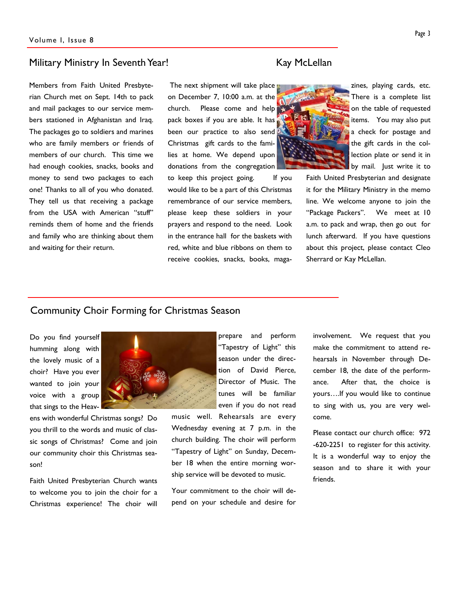### Military Ministry In Seventh Year! The Military McLellan

Members from Faith United Presbyterian Church met on Sept. 14th to pack and mail packages to our service members stationed in Afghanistan and Iraq. The packages go to soldiers and marines who are family members or friends of members of our church. This time we had enough cookies, snacks, books and money to send two packages to each one! Thanks to all of you who donated. They tell us that receiving a package from the USA with American "stuff" reminds them of home and the friends and family who are thinking about them and waiting for their return.

 The next shipment will take place on December 7, 10:00 a.m. at the church. Please come and help pack boxes if you are able. It has been our practice to also send Christmas gift cards to the families at home. We depend upon donations from the congregation

to keep this project going. If you would like to be a part of this Christmas remembrance of our service members, please keep these soldiers in your prayers and respond to the need. Look in the entrance hall for the baskets with red, white and blue ribbons on them to receive cookies, snacks, books, maga-





zines, playing cards, etc. There is a complete list on the table of requested items. You may also put a check for postage and the gift cards in the collection plate or send it in by mail. Just write it to

Faith United Presbyterian and designate it for the Military Ministry in the memo line. We welcome anyone to join the "Package Packers". We meet at 10 a.m. to pack and wrap, then go out for lunch afterward. If you have questions about this project, please contact Cleo Sherrard or Kay McLellan.

## Community Choir Forming for Christmas Season

Do you find yourself humming along with the lovely music of a choir? Have you ever wanted to join your voice with a group that sings to the Heav-

ens with wonderful Christmas songs? Do you thrill to the words and music of classic songs of Christmas? Come and join our community choir this Christmas season!

Faith United Presbyterian Church wants to welcome you to join the choir for a Christmas experience! The choir will



prepare and perform "Tapestry of Light" this season under the direction of David Pierce, Director of Music. The tunes will be familiar even if you do not read

music well. Rehearsals are every Wednesday evening at 7 p.m. in the church building. The choir will perform "Tapestry of Light" on Sunday, December 18 when the entire morning worship service will be devoted to music.

Your commitment to the choir will depend on your schedule and desire for involvement. We request that you make the commitment to attend rehearsals in November through December 18, the date of the performance. After that, the choice is yours….If you would like to continue to sing with us, you are very welcome.

Please contact our church office: 972 -620-2251 to register for this activity. It is a wonderful way to enjoy the season and to share it with your friends.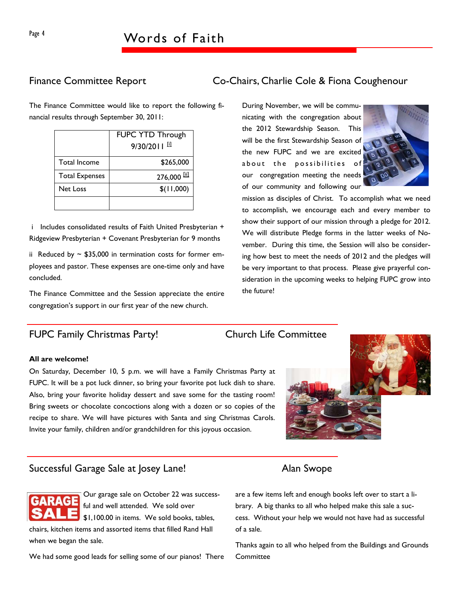# Page 4 Words of Faith

The Finance Committee would like to report the following financial results through September 30, 2011:

|                       | <b>FUPC YTD Through</b> |
|-----------------------|-------------------------|
|                       | $9/30/2011$ $^{11}$     |
| Total Income          | \$265,000               |
| <b>Total Expenses</b> | $276,000$ [ii]          |
| <b>Net Loss</b>       | \$(11,000)              |
|                       |                         |

 i Includes consolidated results of Faith United Presbyterian + Ridgeview Presbyterian + Covenant Presbyterian for 9 months

ii Reduced by  $\sim$  \$35,000 in termination costs for former employees and pastor. These expenses are one-time only and have concluded.

The Finance Committee and the Session appreciate the entire congregation's support in our first year of the new church.

## FUPC Family Christmas Party! Church Life Committee

# Finance Committee Report Co-Chairs, Charlie Cole & Fiona Coughenour

During November, we will be communicating with the congregation about the 2012 Stewardship Season. This will be the first Stewardship Season of the new FUPC and we are excited about the possibilities of our congregation meeting the needs of our community and following our



mission as disciples of Christ. To accomplish what we need to accomplish, we encourage each and every member to show their support of our mission through a pledge for 2012. We will distribute Pledge forms in the latter weeks of November. During this time, the Session will also be considering how best to meet the needs of 2012 and the pledges will be very important to that process. Please give prayerful consideration in the upcoming weeks to helping FUPC grow into the future!

### **All are welcome!**

On Saturday, December 10, 5 p.m. we will have a Family Christmas Party at FUPC. It will be a pot luck dinner, so bring your favorite pot luck dish to share. Also, bring your favorite holiday dessert and save some for the tasting room! Bring sweets or chocolate concoctions along with a dozen or so copies of the recipe to share. We will have pictures with Santa and sing Christmas Carols. Invite your family, children and/or grandchildren for this joyous occasion.



### Successful Garage Sale at Josey Lane! Alan Swope

Our garage sale on October 22 was successful and well attended. We sold over \$1,100.00 in items. We sold books, tables,

chairs, kitchen items and assorted items that filled Rand Hall when we began the sale.

We had some good leads for selling some of our pianos! There

are a few items left and enough books left over to start a library. A big thanks to all who helped make this sale a success. Without your help we would not have had as successful of a sale.

Thanks again to all who helped from the Buildings and Grounds **Committee**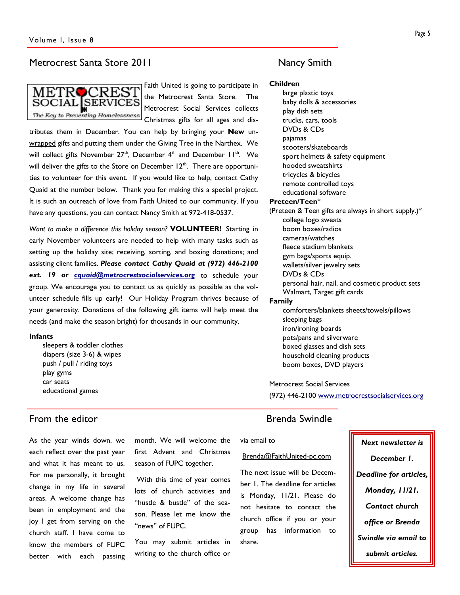### Metrocrest Santa Store 2011 Metrocrest Santa Store 2011



Faith United is going to participate in the Metrocrest Santa Store. The Metrocrest Social Services collects Christmas gifts for all ages and dis-

tributes them in December. You can help by bringing your **New** unwrapped gifts and putting them under the Giving Tree in the Narthex. We will collect gifts November  $27<sup>th</sup>$ , December  $4<sup>th</sup>$  and December  $11<sup>th</sup>$ . We will deliver the gifts to the Store on December  $12<sup>th</sup>$ . There are opportunities to volunteer for this event. If you would like to help, contact Cathy Quaid at the number below. Thank you for making this a special project. It is such an outreach of love from Faith United to our community. If you have any questions, you can contact Nancy Smith at 972-418-0537.

*Want to make a difference this holiday season?* **VOLUNTEER!** Starting in early November volunteers are needed to help with many tasks such as setting up the holiday site; receiving, sorting, and boxing donations; and assisting client families. *Please contact Cathy Quaid at (972) 446-2100*  ext. 19 or **cquaid@metrocrestsocialservices.org** to schedule your group. We encourage you to contact us as quickly as possible as the volunteer schedule fills up early! Our Holiday Program thrives because of your generosity. Donations of the following gift items will help meet the needs (and make the season bright) for thousands in our community.

### **Infants**

sleepers & toddler clothes diapers (size 3-6) & wipes push / pull / riding toys play gyms car seats educational games

### From the editor **Brenda** Swindle

As the year winds down, we each reflect over the past year and what it has meant to us. For me personally, it brought change in my life in several areas. A welcome change has been in employment and the joy I get from serving on the church staff. I have come to know the members of FUPC better with each passing

month. We will welcome the first Advent and Christmas season of FUPC together.

 With this time of year comes lots of church activities and "hustle & bustle" of the season. Please let me know the "news" of FUPC.

You may submit articles in writing to the church office or

### **Children**

large plastic toys baby dolls & accessories play dish sets trucks, cars, tools DVDs & CDs pajamas scooters/skateboards sport helmets & safety equipment hooded sweatshirts tricycles & bicycles remote controlled toys educational software **Preteen/Teen**\* (Preteen & Teen gifts are always in short supply.)\* college logo sweats boom boxes/radios cameras/watches fleece stadium blankets gym bags/sports equip. wallets/silver jewelry sets DVDs & CDs personal hair, nail, and cosmetic product sets Walmart, Target gift cards **Family** comforters/blankets sheets/towels/pillows sleeping bags iron/ironing boards pots/pans and silverware boxed glasses and dish sets

Metrocrest Social Services

household cleaning products boom boxes, DVD players

(972) 446-2100 www.metrocrestsocialservices.org

### via email to

### Brenda@FaithUnited-pc.com

The next issue will be December 1. The deadline for articles is Monday, 11/21. Please do not hesitate to contact the church office if you or your group has information to share.

# *Next newsletter is December 1. Deadline for articles, Monday, 11/21. Contact church office or Brenda Swindle via email to submit articles.*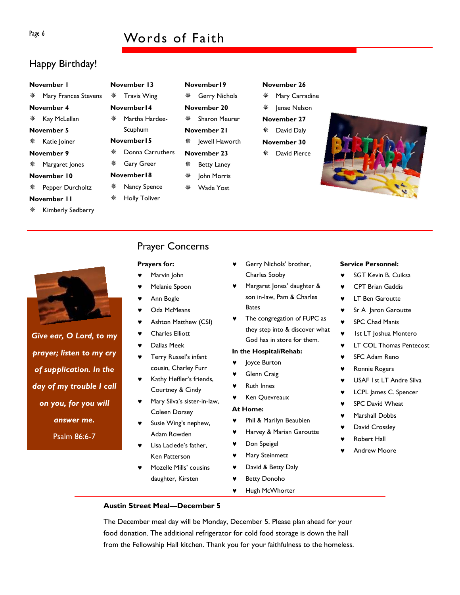# Page 6 Words of Faith

# Happy Birthday!

| November I |                        |     | <b>Novem</b> |  |
|------------|------------------------|-----|--------------|--|
|            | ※ Mary Frances Stevens |     | ※ Tra        |  |
| November 4 |                        |     | <b>Novem</b> |  |
|            | ※ Kay McLellan         | 豪   | Mar          |  |
|            | November 5             |     | Scu          |  |
|            | ※ Katie Joiner         |     | <b>Novem</b> |  |
|            | November 9             | 鸒   | Doi          |  |
|            | ※ Margaret Jones       | ₩ → | Gar          |  |
|            | November 10            |     | <b>Novem</b> |  |
|            | ※ Pepper Durcholtz     | 豢   | Nar          |  |
|            | November II            |     | ※ Hol        |  |

Kimberly Sedberry

| November 13 |                   |  |  |  |  |
|-------------|-------------------|--|--|--|--|
|             | ※ Travis Wing     |  |  |  |  |
| November 14 |                   |  |  |  |  |
| — 张         | Martha Hardee-    |  |  |  |  |
|             | Scuphum           |  |  |  |  |
| November 15 |                   |  |  |  |  |
| ₩           | Donna Carruthers  |  |  |  |  |
| 崇           | <b>Gary Greer</b> |  |  |  |  |
| November 18 |                   |  |  |  |  |
| 豢           | Nancy Spence      |  |  |  |  |
| 鸒           | Holly Toliver     |  |  |  |  |

- **November19 ※ Gerry Nichols**
- **November 20**  Sharon Meurer

**November 21** 

- ※ **Jewell Haworth**
- **November 23**
- Betty Laney John Morris
- Wade Yost
- **※ Mary Carradine**
- ※ Jenae Nelson

**November 26** 

- **November 27 ※ David Daly**
- **November 30**
- David Pierce





*Give ear, O Lord, to my prayer; listen to my cry of supplication. In the day of my trouble I call on you, for you will answer me.*  Psalm 86:6-7

# Prayer Concerns

### **Prayers for:**

- Marvin John
- Melanie Spoon
- Ann Bogle
- Oda McMeans
- Ashton Matthew (CSI)
- **Charles Elliott**
- Dallas Meek
- Terry Russel's infant cousin, Charley Furr
- Kathy Heffler's friends, Courtney & Cindy
- Mary Silva's sister-in-law, Coleen Dorsey
- Susie Wing's nephew, Adam Rowden
- Lisa Laclede's father, Ken Patterson
- Mozelle Mills' cousins daughter, Kirsten
- Gerry Nichols' brother, Charles Sooby
- Margaret Jones' daughter & son in-law, Pam & Charles Bates
- The congregation of FUPC as they step into & discover what God has in store for them.

### **In the Hospital/Rehab:**

- Joyce Burton
- Glenn Craig
- **Ruth Innes**
- Ken Quevreaux

### **At Home:**

- ♥ Phil & Marilyn Beaubien
- Harvey & Marian Garoutte
- ♥ Don Speigel
- ♥ Mary Steinmetz
- ♥ David & Betty Daly
- ♥ Betty Donoho
- ♥ Hugh McWhorter

# **Service Personnel:**

- ♥ SGT Kevin B. Cuiksa
- CPT Brian Gaddis
- ♥ LT Ben Garoutte
- ♥ Sr A Jaron Garoutte
- **SPC Chad Manis**
- Ist LT Joshua Montero
- **LT COL Thomas Pentecost**
- **SFC Adam Reno**
- ♥ Ronnie Rogers
- USAF 1st LT Andre Silva
- ♥ LCPL James C. Spencer
- SPC David Wheat
- Marshall Dobbs
- David Crossley
- **Robert Hall**
- **Andrew Moore**

**Austin Street Meal—December 5** 

The December meal day will be Monday, December 5. Please plan ahead for your food donation. The additional refrigerator for cold food storage is down the hall from the Fellowship Hall kitchen. Thank you for your faithfulness to the homeless.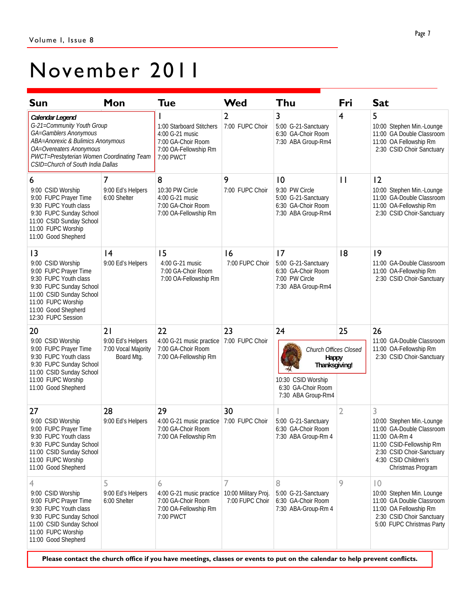# November 2011

| <b>Sun</b>                                                                                                                                                                                                               | Mon                                                          | <b>Tue</b>                                                                                              | Wed                                     | Thu                                                                                               | Fri            | <b>Sat</b>                                                                                                                                                                         |
|--------------------------------------------------------------------------------------------------------------------------------------------------------------------------------------------------------------------------|--------------------------------------------------------------|---------------------------------------------------------------------------------------------------------|-----------------------------------------|---------------------------------------------------------------------------------------------------|----------------|------------------------------------------------------------------------------------------------------------------------------------------------------------------------------------|
| Calendar Legend<br>G-21=Community Youth Group<br>GA=Gamblers Anonymous<br>ABA=Anorexic & Bulimics Anonymous<br>OA=Overeaters Anonymous<br>PWCT=Presbyterian Women Coordinating Team<br>CSID=Church of South India Dallas |                                                              | 1:00 Starboard Stitchers<br>4:00 G-21 music<br>7:00 GA-Choir Room<br>7:00 OA-Fellowship Rm<br>7:00 PWCT | 2<br>7:00 FUPC Choir                    | 3<br>5:00 G-21-Sanctuary<br>6:30 GA-Choir Room<br>7:30 ABA Group-Rm4                              | 4              | 5<br>10:00 Stephen Min.-Lounge<br>11:00 GA Double Classroom<br>11:00 OA Fellowship Rm<br>2:30 CSID Choir Sanctuary                                                                 |
| 6<br>9:00 CSID Worship<br>9:00 FUPC Prayer Time<br>9:30 FUPC Youth class<br>9:30 FUPC Sunday School<br>11:00 CSID Sunday School<br>11:00 FUPC Worship<br>11:00 Good Shepherd                                             | 7<br>9:00 Ed's Helpers<br>6:00 Shelter                       | 8<br>10:30 PW Circle<br>4:00 G-21 music<br>7:00 GA-Choir Room<br>7:00 OA-Fellowship Rm                  | 9<br>7:00 FUPC Choir                    | 10<br>9:30 PW Circle<br>5:00 G-21-Sanctuary<br>6:30 GA-Choir Room<br>7:30 ABA Group-Rm4           | П              | 12<br>10:00 Stephen Min.-Lounge<br>11:00 GA-Double Classroom<br>11:00 OA-Fellowship Rm<br>2:30 CSID Choir-Sanctuary                                                                |
| $\overline{13}$<br>9:00 CSID Worship<br>9:00 FUPC Prayer Time<br>9:30 FUPC Youth class<br>9:30 FUPC Sunday School<br>11:00 CSID Sunday School<br>11:00 FUPC Worship<br>11:00 Good Shepherd<br>12:30 FUPC Session         | 4<br>9:00 Ed's Helpers                                       | 15<br>4:00 G-21 music<br>7:00 GA-Choir Room<br>7:00 OA-Fellowship Rm                                    | 16<br>7:00 FUPC Choir                   | 17<br>5:00 G-21-Sanctuary<br>6:30 GA-Choir Room<br>7:00 PW Circle<br>7:30 ABA Group-Rm4           | 18             | 9<br>11:00 GA-Double Classroom<br>11:00 OA-Fellowship Rm<br>2:30 CSID Choir-Sanctuary                                                                                              |
| 20<br>9:00 CSID Worship<br>9:00 FUPC Prayer Time<br>9:30 FUPC Youth class<br>9:30 FUPC Sunday School<br>11:00 CSID Sunday School<br>11:00 FUPC Worship<br>11:00 Good Shepherd                                            | 21<br>9:00 Ed's Helpers<br>7:00 Vocal Majority<br>Board Mtg. | 22<br>4:00 G-21 music practice<br>7:00 GA-Choir Room<br>7:00 OA-Fellowship Rm                           | 23<br>7:00 FUPC Choir                   | 24<br>Church Offices Closed<br>Happy<br>Thanksgiving!<br>10:30 CSID Worship<br>6:30 GA-Choir Room | 25             | 26<br>11:00 GA-Double Classroom<br>11:00 OA-Fellowship Rm<br>2:30 CSID Choir-Sanctuary                                                                                             |
|                                                                                                                                                                                                                          |                                                              |                                                                                                         |                                         | 7:30 ABA Group-Rm4                                                                                |                |                                                                                                                                                                                    |
| 27<br>9:00 CSID Worship<br>9:00 FUPC Prayer Time<br>9:30 FUPC Youth class<br>9:30 FUPC Sunday School<br>11:00 CSID Sunday School<br>11:00 FUPC Worship<br>11:00 Good Shepherd                                            | 28<br>9:00 Ed's Helpers                                      | 29<br>4:00 G-21 music practice   7:00 FUPC Choir<br>7:00 GA-Choir Room<br>7:00 OA Fellowship Rm         | 30                                      | 5:00 G-21-Sanctuary<br>6:30 GA-Choir Room<br>7:30 ABA Group-Rm 4                                  | $\overline{2}$ | 3<br>10:00 Stephen Min.-Lounge<br>11:00 GA-Double Classroom<br>11:00 OA-Rm 4<br>11:00 CSID-Fellowship Rm<br>2:30 CSID Choir-Sanctuary<br>4:30 CSID Children's<br>Christmas Program |
| 4<br>9:00 CSID Worship<br>9:00 FUPC Prayer Time<br>9:30 FUPC Youth class<br>9:30 FUPC Sunday School<br>11:00 CSID Sunday School<br>11:00 FUPC Worship<br>11:00 Good Shepherd                                             | 5<br>9:00 Ed's Helpers<br>6:00 Shelter                       | 6<br>4:00 G-21 music practice<br>7:00 GA-Choir Room<br>7:00 OA-Fellowship Rm<br>7:00 PWCT               | 10:00 Military Proj.<br>7:00 FUPC Choir | 8<br>5:00 G-21-Sanctuary<br>6:30 GA-Choir Room<br>7:30 ABA-Group-Rm 4                             | 9              | $ 0\rangle$<br>10:00 Stephen Min. Lounge<br>11:00 GA Double Classroom<br>11:00 OA Fellowship Rm<br>2:30 CSID Choir Sanctuary<br>5:00 FUPC Christmas Party                          |

**Please contact the church office if you have meetings, classes or events to put on the calendar to help prevent conflicts.**